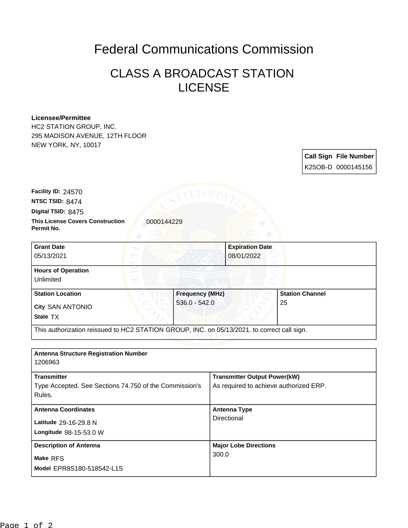## Federal Communications Commission

## CLASS A BROADCAST STATION LICENSE

## **Licensee/Permittee**

HC2 STATION GROUP, INC. 295 MADISON AVENUE, 12TH FLOOR NEW YORK, NY, 10017

> **Call Sign File Number** K25OB-D 0000145156

**This License Covers Construction**  0000144229 **Permit No. Digital TSID:** 8475 **NTSC TSID:** 8474 **Facility ID:** 24570

| <b>Grant Date</b><br>05/13/2021                                | 08/01/2022                                                                                  | <b>Expiration Date</b>       |
|----------------------------------------------------------------|---------------------------------------------------------------------------------------------|------------------------------|
| <b>Hours of Operation</b><br>Unlimited                         |                                                                                             |                              |
| <b>Station Location</b><br><b>City SAN ANTONIO</b><br>State TX | <b>Frequency (MHz)</b><br>$536.0 - 542.0$                                                   | <b>Station Channel</b><br>25 |
|                                                                | This authorization reissued to HC2 STATION GROUP, INC. on 05/13/2021. to correct call sign. |                              |

| <b>Antenna Structure Registration Number</b>           |                                        |
|--------------------------------------------------------|----------------------------------------|
| 1206963                                                |                                        |
| <b>Transmitter</b>                                     | <b>Transmitter Output Power(kW)</b>    |
| Type Accepted. See Sections 74.750 of the Commission's | As required to achieve authorized ERP. |
| Rules.                                                 |                                        |
| <b>Antenna Coordinates</b>                             | <b>Antenna Type</b>                    |
| Latitude 29-16-29.8 N                                  | Directional                            |
| Longitude 98-15-53.0 W                                 |                                        |
| <b>Description of Antenna</b>                          | <b>Major Lobe Directions</b>           |
| Make RFS                                               | 300.0                                  |
| Model EPR8S180-518542-L1S                              |                                        |
|                                                        |                                        |